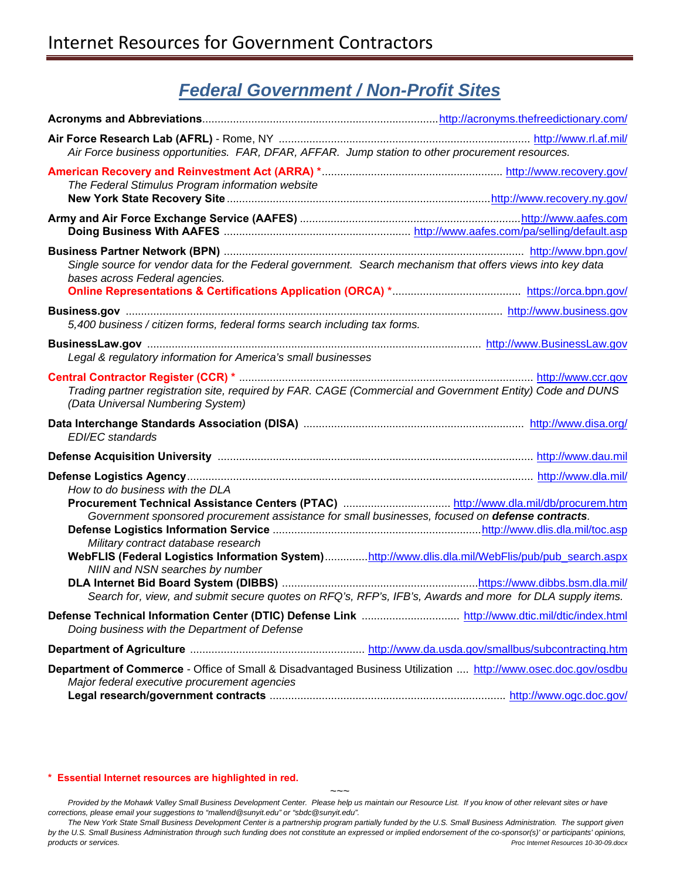### *Federal Government / Non-Profit Sites*

| Air Force business opportunities. FAR, DFAR, AFFAR. Jump station to other procurement resources.                                                                                                                                                                                                                                                                                                                              |  |
|-------------------------------------------------------------------------------------------------------------------------------------------------------------------------------------------------------------------------------------------------------------------------------------------------------------------------------------------------------------------------------------------------------------------------------|--|
| The Federal Stimulus Program information website                                                                                                                                                                                                                                                                                                                                                                              |  |
|                                                                                                                                                                                                                                                                                                                                                                                                                               |  |
| Single source for vendor data for the Federal government. Search mechanism that offers views into key data<br>bases across Federal agencies.                                                                                                                                                                                                                                                                                  |  |
| 5,400 business / citizen forms, federal forms search including tax forms.                                                                                                                                                                                                                                                                                                                                                     |  |
| Legal & regulatory information for America's small businesses                                                                                                                                                                                                                                                                                                                                                                 |  |
| Trading partner registration site, required by FAR. CAGE (Commercial and Government Entity) Code and DUNS<br>(Data Universal Numbering System)                                                                                                                                                                                                                                                                                |  |
| <b>EDI/EC</b> standards                                                                                                                                                                                                                                                                                                                                                                                                       |  |
|                                                                                                                                                                                                                                                                                                                                                                                                                               |  |
| How to do business with the DLA<br>Government sponsored procurement assistance for small businesses, focused on defense contracts.<br>Military contract database research<br>WebFLIS (Federal Logistics Information System)http://www.dlis.dla.mil/WebFlis/pub/pub_search.aspx<br>NIIN and NSN searches by number<br>Search for, view, and submit secure quotes on RFQ's, RFP's, IFB's, Awards and more for DLA supply items. |  |
| Doing business with the Department of Defense                                                                                                                                                                                                                                                                                                                                                                                 |  |
|                                                                                                                                                                                                                                                                                                                                                                                                                               |  |
| Department of Commerce - Office of Small & Disadvantaged Business Utilization  http://www.osec.doc.gov/osdbu<br>Major federal executive procurement agencies                                                                                                                                                                                                                                                                  |  |

### **\* Essential Internet resources are highlighted in red.**

Provided by the Mohawk Valley Small Business Development Center. Please help us maintain our Resource List. If you know of other relevant sites or have *corrections, please email your suggestions to "mallend@sunyit.edu" or "sbdc@sunyit.edu".* 

The New York State Small Business Development Center is a partnership program partially funded by the U.S. Small Business Administration. The support given *by the U.S. Small Business Administration through such funding does not constitute an expressed or implied endorsement of the co-sponsor(s)' or participants' opinions, products or services. Proc Internet Resources 10-30-09.docx*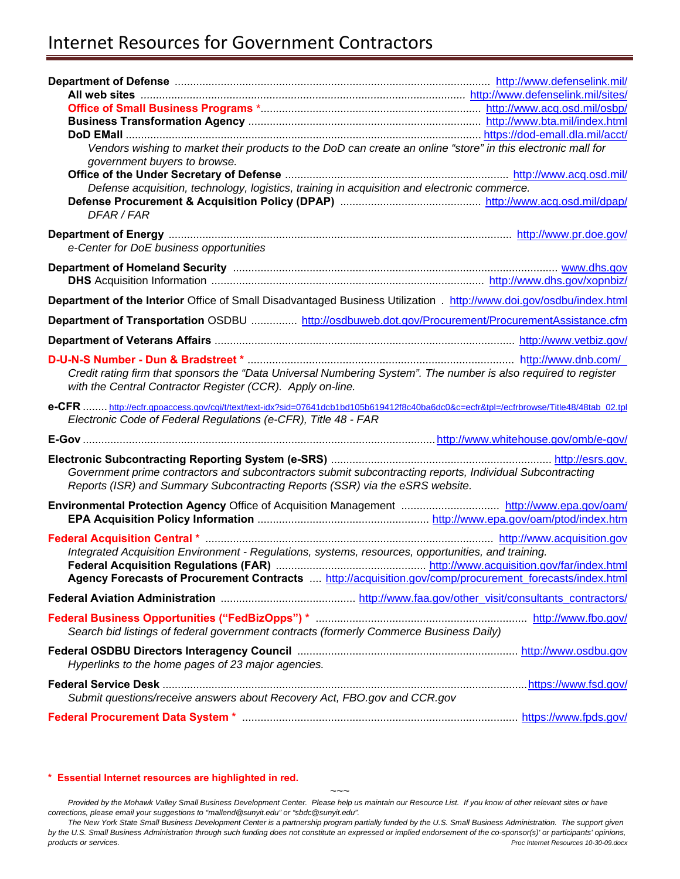### Internet Resources for Government Contractors

| Vendors wishing to market their products to the DoD can create an online "store" in this electronic mall for                          |  |
|---------------------------------------------------------------------------------------------------------------------------------------|--|
| government buyers to browse.                                                                                                          |  |
|                                                                                                                                       |  |
| Defense acquisition, technology, logistics, training in acquisition and electronic commerce.                                          |  |
| DFAR / FAR                                                                                                                            |  |
|                                                                                                                                       |  |
|                                                                                                                                       |  |
| e-Center for DoE business opportunities                                                                                               |  |
|                                                                                                                                       |  |
|                                                                                                                                       |  |
| Department of the Interior Office of Small Disadvantaged Business Utilization . http://www.doi.gov/osdbu/index.html                   |  |
| Department of Transportation OSDBU  http://osdbuweb.dot.gov/Procurement/ProcurementAssistance.cfm                                     |  |
|                                                                                                                                       |  |
|                                                                                                                                       |  |
| Credit rating firm that sponsors the "Data Universal Numbering System". The number is also required to register                       |  |
| with the Central Contractor Register (CCR). Apply on-line.                                                                            |  |
|                                                                                                                                       |  |
| e-CFR  http://ecfr.gpoaccess.gov/cgi/t/text/text-idx?sid=07641dcb1bd105b619412f8c40ba6dc0&c=ecfr&tpl=/ecfrbrowse/Title48/48tab 02.tpl |  |
| Electronic Code of Federal Regulations (e-CFR), Title 48 - FAR                                                                        |  |
|                                                                                                                                       |  |
|                                                                                                                                       |  |
| Government prime contractors and subcontractors submit subcontracting reports, Individual Subcontracting                              |  |
| Reports (ISR) and Summary Subcontracting Reports (SSR) via the eSRS website.                                                          |  |
|                                                                                                                                       |  |
|                                                                                                                                       |  |
|                                                                                                                                       |  |
| Integrated Acquisition Environment - Regulations, systems, resources, opportunities, and training.                                    |  |
|                                                                                                                                       |  |
| Agency Forecasts of Procurement Contracts  http://acquisition.gov/comp/procurement_forecasts/index.html                               |  |
|                                                                                                                                       |  |
|                                                                                                                                       |  |
| Search bid listings of federal government contracts (formerly Commerce Business Daily)                                                |  |
|                                                                                                                                       |  |
| Hyperlinks to the home pages of 23 major agencies.                                                                                    |  |
|                                                                                                                                       |  |
| Submit questions/receive answers about Recovery Act, FBO.gov and CCR.gov                                                              |  |

#### **\* Essential Internet resources are highlighted in red.**

*~~~ Provided by the Mohawk Valley Small Business Development Center. Please help us maintain our Resource List. If you know of other relevant sites or have corrections, please email your suggestions to "mallend@sunyit.edu" or "sbdc@sunyit.edu".* 

*The New York State Small Business Development Center is a partnership program partially funded by the U.S. Small Business Administration. The support given by the U.S. Small Business Administration through such funding does not constitute an expressed or implied endorsement of the co-sponsor(s)' or participants' opinions, products or services. Proc Internet Resources 10-30-09.docx*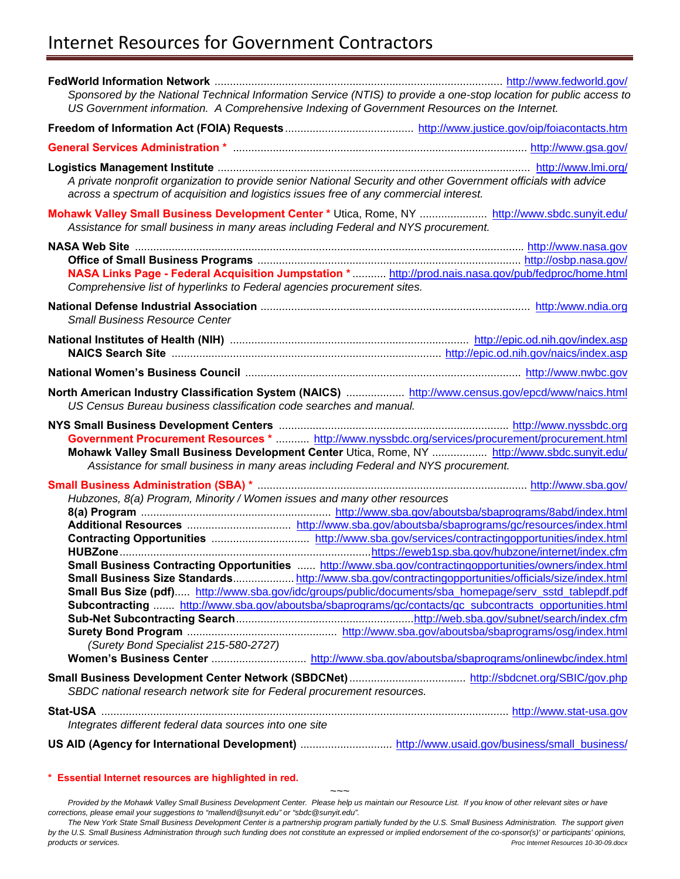# Internet Resources for Government Contractors

|                                                                                                                                                                | Sponsored by the National Technical Information Service (NTIS) to provide a one-stop location for public access to<br>US Government information. A Comprehensive Indexing of Government Resources on the Internet.                                                                                                                                                                                                                 |
|----------------------------------------------------------------------------------------------------------------------------------------------------------------|------------------------------------------------------------------------------------------------------------------------------------------------------------------------------------------------------------------------------------------------------------------------------------------------------------------------------------------------------------------------------------------------------------------------------------|
|                                                                                                                                                                |                                                                                                                                                                                                                                                                                                                                                                                                                                    |
|                                                                                                                                                                |                                                                                                                                                                                                                                                                                                                                                                                                                                    |
| across a spectrum of acquisition and logistics issues free of any commercial interest.                                                                         | A private nonprofit organization to provide senior National Security and other Government officials with advice                                                                                                                                                                                                                                                                                                                    |
| Assistance for small business in many areas including Federal and NYS procurement.                                                                             | Mohawk Valley Small Business Development Center * Utica, Rome, NY  http://www.sbdc.sunyit.edu/                                                                                                                                                                                                                                                                                                                                     |
| Comprehensive list of hyperlinks to Federal agencies procurement sites.                                                                                        | NASA Links Page - Federal Acquisition Jumpstation * http://prod.nais.nasa.gov/pub/fedproc/home.html                                                                                                                                                                                                                                                                                                                                |
| <b>Small Business Resource Center</b>                                                                                                                          |                                                                                                                                                                                                                                                                                                                                                                                                                                    |
|                                                                                                                                                                | National Institutes of Health (NIH) material contract the entries and the entries http://epic.od.nih.gov/index.asp                                                                                                                                                                                                                                                                                                                 |
|                                                                                                                                                                |                                                                                                                                                                                                                                                                                                                                                                                                                                    |
| US Census Bureau business classification code searches and manual.                                                                                             | North American Industry Classification System (NAICS)  http://www.census.gov/epcd/www/naics.html                                                                                                                                                                                                                                                                                                                                   |
|                                                                                                                                                                |                                                                                                                                                                                                                                                                                                                                                                                                                                    |
|                                                                                                                                                                | Government Procurement Resources *  http://www.nyssbdc.org/services/procurement/procurement.html<br>Mohawk Valley Small Business Development Center Utica, Rome, NY  http://www.sbdc.sunyit.edu/                                                                                                                                                                                                                                   |
| Assistance for small business in many areas including Federal and NYS procurement.<br>Hubzones, 8(a) Program, Minority / Women issues and many other resources |                                                                                                                                                                                                                                                                                                                                                                                                                                    |
|                                                                                                                                                                |                                                                                                                                                                                                                                                                                                                                                                                                                                    |
|                                                                                                                                                                |                                                                                                                                                                                                                                                                                                                                                                                                                                    |
|                                                                                                                                                                | Small Business Contracting Opportunities  http://www.sba.gov/contractingopportunities/owners/index.html<br>Small Business Size Standardshttp://www.sba.gov/contractingopportunities/officials/size/index.html<br>Small Bus Size (pdf) http://www.sba.gov/idc/groups/public/documents/sba_homepage/serv_sstd_tablepdf.pdf<br>Subcontracting  http://www.sba.gov/aboutsba/sbaprograms/gc/contacts/gc_subcontracts_opportunities.html |
| (Surety Bond Specialist 215-580-2727)                                                                                                                          |                                                                                                                                                                                                                                                                                                                                                                                                                                    |
| SBDC national research network site for Federal procurement resources.                                                                                         |                                                                                                                                                                                                                                                                                                                                                                                                                                    |
|                                                                                                                                                                |                                                                                                                                                                                                                                                                                                                                                                                                                                    |
| Integrates different federal data sources into one site                                                                                                        |                                                                                                                                                                                                                                                                                                                                                                                                                                    |

### **[\\* Essential Internet resources are highlighted in red.](http://www.pr.doe.gov/)**

*~~~ Provided by the Mohawk Valley Small Business Development Center. Please help us maintain our Resource List. If you know of other relevant sites or have corrections, please email your suggestions to "mallend@sunyit.edu" or "sbdc@sunyit.edu".* 

*The New York State Small Business Development Center is a partnership program partially funded by the U.S. Small Business Administration. The support given by the U.S. Small Business Administration through such funding does not constitute an expressed or implied endorsement of the co-sponsor(s)' or participants' opinions, products or services. Proc Internet Resources 10-30-09.docx*